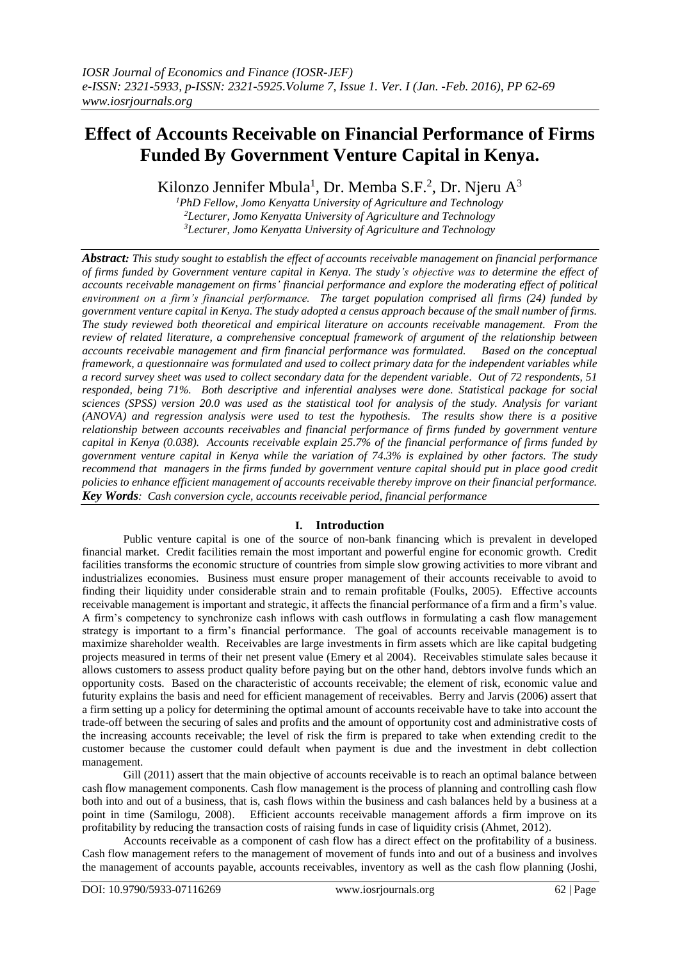# **Effect of Accounts Receivable on Financial Performance of Firms Funded By Government Venture Capital in Kenya.**

Kilonzo Jennifer Mbula<sup>1</sup>, Dr. Memba S.F.<sup>2</sup>, Dr. Njeru A<sup>3</sup>

*<sup>1</sup>PhD Fellow, Jomo Kenyatta University of Agriculture and Technology <sup>2</sup>Lecturer, Jomo Kenyatta University of Agriculture and Technology <sup>3</sup>Lecturer, Jomo Kenyatta University of Agriculture and Technology*

*Abstract: This study sought to establish the effect of accounts receivable management on financial performance of firms funded by Government venture capital in Kenya. The study's objective was to determine the effect of accounts receivable management on firms' financial performance and explore the moderating effect of political environment on a firm's financial performance. The target population comprised all firms (24) funded by government venture capital in Kenya. The study adopted a census approach because of the small number of firms. The study reviewed both theoretical and empirical literature on accounts receivable management. From the review of related literature, a comprehensive conceptual framework of argument of the relationship between accounts receivable management and firm financial performance was formulated. Based on the conceptual framework, a questionnaire was formulated and used to collect primary data for the independent variables while a record survey sheet was used to collect secondary data for the dependent variable. Out of 72 respondents, 51 responded, being 71%. Both descriptive and inferential analyses were done. Statistical package for social sciences (SPSS) version 20.0 was used as the statistical tool for analysis of the study. Analysis for variant (ANOVA) and regression analysis were used to test the hypothesis. The results show there is a positive relationship between accounts receivables and financial performance of firms funded by government venture capital in Kenya (0.038). Accounts receivable explain 25.7% of the financial performance of firms funded by government venture capital in Kenya while the variation of 74.3% is explained by other factors. The study recommend that managers in the firms funded by government venture capital should put in place good credit policies to enhance efficient management of accounts receivable thereby improve on their financial performance. Key Words: Cash conversion cycle, accounts receivable period, financial performance* 

## **I. Introduction**

Public venture capital is one of the source of non-bank financing which is prevalent in developed financial market. Credit facilities remain the most important and powerful engine for economic growth. Credit facilities transforms the economic structure of countries from simple slow growing activities to more vibrant and industrializes economies. Business must ensure proper management of their accounts receivable to avoid to finding their liquidity under considerable strain and to remain profitable (Foulks, 2005). Effective accounts receivable management is important and strategic, it affects the financial performance of a firm and a firm's value. A firm's competency to synchronize cash inflows with cash outflows in formulating a cash flow management strategy is important to a firm's financial performance. The goal of accounts receivable management is to maximize shareholder wealth. Receivables are large investments in firm assets which are like capital budgeting projects measured in terms of their net present value (Emery et al 2004). Receivables stimulate sales because it allows customers to assess product quality before paying but on the other hand, debtors involve funds which an opportunity costs. Based on the characteristic of accounts receivable; the element of risk, economic value and futurity explains the basis and need for efficient management of receivables. Berry and Jarvis (2006) assert that a firm setting up a policy for determining the optimal amount of accounts receivable have to take into account the trade-off between the securing of sales and profits and the amount of opportunity cost and administrative costs of the increasing accounts receivable; the level of risk the firm is prepared to take when extending credit to the customer because the customer could default when payment is due and the investment in debt collection management.

Gill (2011) assert that the main objective of accounts receivable is to reach an optimal balance between cash flow management components. Cash flow management is the process of planning and controlling cash flow both into and out of a business, that is, cash flows within the business and cash balances held by a business at a point in time (Samilogu, 2008). Efficient accounts receivable management affords a firm improve on its profitability by reducing the transaction costs of raising funds in case of liquidity crisis (Ahmet, 2012).

Accounts receivable as a component of cash flow has a direct effect on the profitability of a business. Cash flow management refers to the management of movement of funds into and out of a business and involves the management of accounts payable, accounts receivables, inventory as well as the cash flow planning (Joshi,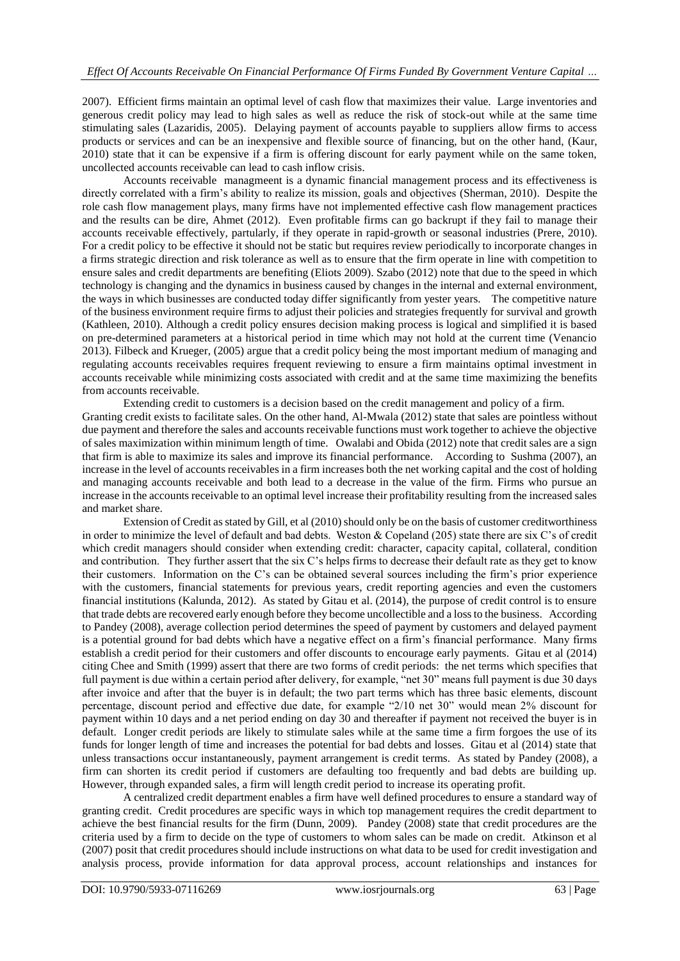2007). Efficient firms maintain an optimal level of cash flow that maximizes their value. Large inventories and generous credit policy may lead to high sales as well as reduce the risk of stock-out while at the same time stimulating sales (Lazaridis, 2005). Delaying payment of accounts payable to suppliers allow firms to access products or services and can be an inexpensive and flexible source of financing, but on the other hand, (Kaur, 2010) state that it can be expensive if a firm is offering discount for early payment while on the same token, uncollected accounts receivable can lead to cash inflow crisis.

Accounts receivable managmeent is a dynamic financial management process and its effectiveness is directly correlated with a firm's ability to realize its mission, goals and objectives (Sherman, 2010). Despite the role cash flow management plays, many firms have not implemented effective cash flow management practices and the results can be dire, Ahmet (2012). Even profitable firms can go backrupt if they fail to manage their accounts receivable effectively, partularly, if they operate in rapid-growth or seasonal industries (Prere, 2010). For a credit policy to be effective it should not be static but requires review periodically to incorporate changes in a firms strategic direction and risk tolerance as well as to ensure that the firm operate in line with competition to ensure sales and credit departments are benefiting (Eliots 2009). Szabo (2012) note that due to the speed in which technology is changing and the dynamics in business caused by changes in the internal and external environment, the ways in which businesses are conducted today differ significantly from yester years. The competitive nature of the business environment require firms to adjust their policies and strategies frequently for survival and growth (Kathleen, 2010). Although a credit policy ensures decision making process is logical and simplified it is based on pre-determined parameters at a historical period in time which may not hold at the current time (Venancio 2013). Filbeck and Krueger, (2005) argue that a credit policy being the most important medium of managing and regulating accounts receivables requires frequent reviewing to ensure a firm maintains optimal investment in accounts receivable while minimizing costs associated with credit and at the same time maximizing the benefits from accounts receivable.

Extending credit to customers is a decision based on the credit management and policy of a firm. Granting credit exists to facilitate sales. On the other hand, Al-Mwala (2012) state that sales are pointless without due payment and therefore the sales and accounts receivable functions must work together to achieve the objective of sales maximization within minimum length of time. Owalabi and Obida (2012) note that credit sales are a sign that firm is able to maximize its sales and improve its financial performance. According to Sushma (2007), an increase in the level of accounts receivables in a firm increases both the net working capital and the cost of holding and managing accounts receivable and both lead to a decrease in the value of the firm. Firms who pursue an increase in the accounts receivable to an optimal level increase their profitability resulting from the increased sales and market share.

Extension of Credit as stated by Gill, et al (2010) should only be on the basis of customer creditworthiness in order to minimize the level of default and bad debts. Weston & Copeland (205) state there are six C's of credit which credit managers should consider when extending credit: character, capacity capital, collateral, condition and contribution. They further assert that the six  $C$ 's helps firms to decrease their default rate as they get to know their customers. Information on the C's can be obtained several sources including the firm's prior experience with the customers, financial statements for previous years, credit reporting agencies and even the customers financial institutions (Kalunda, 2012). As stated by Gitau et al. (2014), the purpose of credit control is to ensure that trade debts are recovered early enough before they become uncollectible and a loss to the business. According to Pandey (2008), average collection period determines the speed of payment by customers and delayed payment is a potential ground for bad debts which have a negative effect on a firm's financial performance. Many firms establish a credit period for their customers and offer discounts to encourage early payments. Gitau et al (2014) citing Chee and Smith (1999) assert that there are two forms of credit periods: the net terms which specifies that full payment is due within a certain period after delivery, for example, "net 30" means full payment is due 30 days after invoice and after that the buyer is in default; the two part terms which has three basic elements, discount percentage, discount period and effective due date, for example "2/10 net 30" would mean 2% discount for payment within 10 days and a net period ending on day 30 and thereafter if payment not received the buyer is in default. Longer credit periods are likely to stimulate sales while at the same time a firm forgoes the use of its funds for longer length of time and increases the potential for bad debts and losses. Gitau et al (2014) state that unless transactions occur instantaneously, payment arrangement is credit terms. As stated by Pandey (2008), a firm can shorten its credit period if customers are defaulting too frequently and bad debts are building up. However, through expanded sales, a firm will length credit period to increase its operating profit.

A centralized credit department enables a firm have well defined procedures to ensure a standard way of granting credit. Credit procedures are specific ways in which top management requires the credit department to achieve the best financial results for the firm (Dunn, 2009). Pandey (2008) state that credit procedures are the criteria used by a firm to decide on the type of customers to whom sales can be made on credit. Atkinson et al (2007) posit that credit procedures should include instructions on what data to be used for credit investigation and analysis process, provide information for data approval process, account relationships and instances for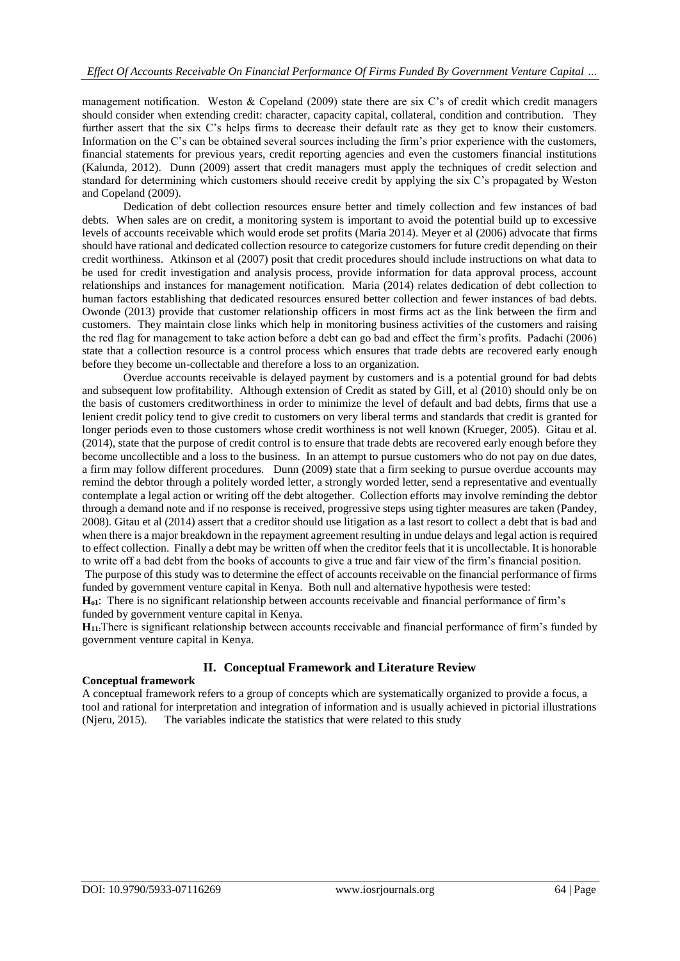management notification. Weston & Copeland (2009) state there are six C's of credit which credit managers should consider when extending credit: character, capacity capital, collateral, condition and contribution. They further assert that the six C's helps firms to decrease their default rate as they get to know their customers. Information on the C's can be obtained several sources including the firm's prior experience with the customers, financial statements for previous years, credit reporting agencies and even the customers financial institutions (Kalunda, 2012). Dunn (2009) assert that credit managers must apply the techniques of credit selection and standard for determining which customers should receive credit by applying the six C's propagated by Weston and Copeland (2009).

Dedication of debt collection resources ensure better and timely collection and few instances of bad debts. When sales are on credit, a monitoring system is important to avoid the potential build up to excessive levels of accounts receivable which would erode set profits (Maria 2014). Meyer et al (2006) advocate that firms should have rational and dedicated collection resource to categorize customers for future credit depending on their credit worthiness. Atkinson et al (2007) posit that credit procedures should include instructions on what data to be used for credit investigation and analysis process, provide information for data approval process, account relationships and instances for management notification. Maria (2014) relates dedication of debt collection to human factors establishing that dedicated resources ensured better collection and fewer instances of bad debts. Owonde (2013) provide that customer relationship officers in most firms act as the link between the firm and customers. They maintain close links which help in monitoring business activities of the customers and raising the red flag for management to take action before a debt can go bad and effect the firm's profits. Padachi (2006) state that a collection resource is a control process which ensures that trade debts are recovered early enough before they become un-collectable and therefore a loss to an organization.

Overdue accounts receivable is delayed payment by customers and is a potential ground for bad debts and subsequent low profitability. Although extension of Credit as stated by Gill, et al (2010) should only be on the basis of customers creditworthiness in order to minimize the level of default and bad debts, firms that use a lenient credit policy tend to give credit to customers on very liberal terms and standards that credit is granted for longer periods even to those customers whose credit worthiness is not well known (Krueger, 2005). Gitau et al. (2014), state that the purpose of credit control is to ensure that trade debts are recovered early enough before they become uncollectible and a loss to the business. In an attempt to pursue customers who do not pay on due dates, a firm may follow different procedures. Dunn (2009) state that a firm seeking to pursue overdue accounts may remind the debtor through a politely worded letter, a strongly worded letter, send a representative and eventually contemplate a legal action or writing off the debt altogether. Collection efforts may involve reminding the debtor through a demand note and if no response is received, progressive steps using tighter measures are taken (Pandey, 2008). Gitau et al (2014) assert that a creditor should use litigation as a last resort to collect a debt that is bad and when there is a major breakdown in the repayment agreement resulting in undue delays and legal action is required to effect collection. Finally a debt may be written off when the creditor feels that it is uncollectable. It is honorable to write off a bad debt from the books of accounts to give a true and fair view of the firm's financial position.

The purpose of this study was to determine the effect of accounts receivable on the financial performance of firms funded by government venture capital in Kenya. Both null and alternative hypothesis were tested:

**Ho1**: There is no significant relationship between accounts receivable and financial performance of firm's funded by government venture capital in Kenya.

**H11:**There is significant relationship between accounts receivable and financial performance of firm's funded by government venture capital in Kenya.

## **II. Conceptual Framework and Literature Review**

#### **Conceptual framework**

A conceptual framework refers to a group of concepts which are systematically organized to provide a focus, a tool and rational for interpretation and integration of information and is usually achieved in pictorial illustrations (Njeru, 2015). The variables indicate the statistics that were related to this study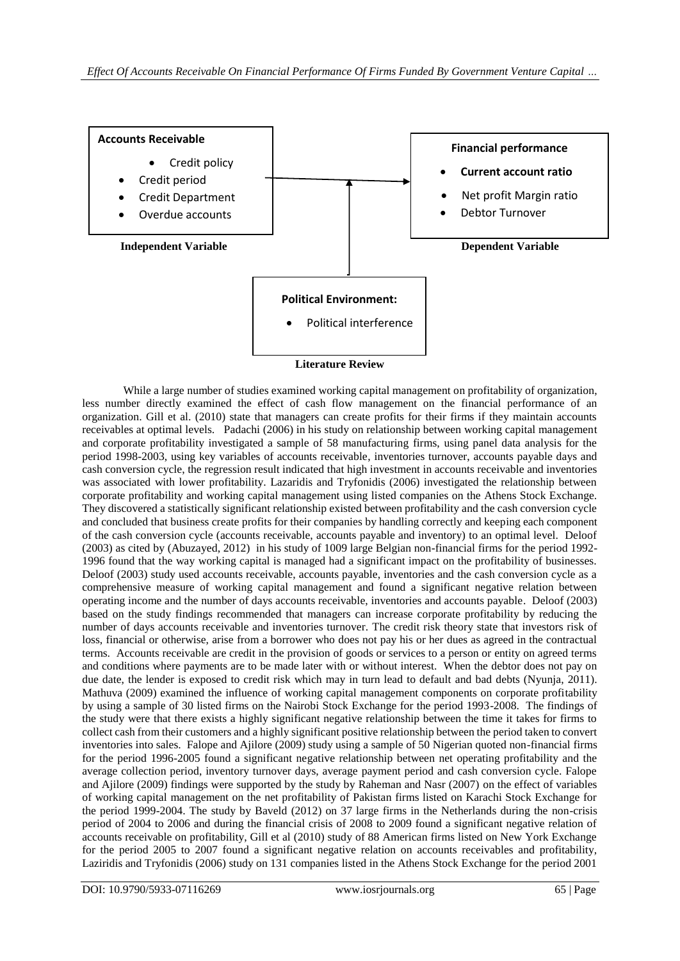

While a large number of studies examined working capital management on profitability of organization, less number directly examined the effect of cash flow management on the financial performance of an organization. Gill et al. (2010) state that managers can create profits for their firms if they maintain accounts receivables at optimal levels. Padachi (2006) in his study on relationship between working capital management and corporate profitability investigated a sample of 58 manufacturing firms, using panel data analysis for the period 1998-2003, using key variables of accounts receivable, inventories turnover, accounts payable days and cash conversion cycle, the regression result indicated that high investment in accounts receivable and inventories was associated with lower profitability. Lazaridis and Tryfonidis (2006) investigated the relationship between corporate profitability and working capital management using listed companies on the Athens Stock Exchange. They discovered a statistically significant relationship existed between profitability and the cash conversion cycle and concluded that business create profits for their companies by handling correctly and keeping each component of the cash conversion cycle (accounts receivable, accounts payable and inventory) to an optimal level. Deloof (2003) as cited by (Abuzayed, 2012) in his study of 1009 large Belgian non-financial firms for the period 1992- 1996 found that the way working capital is managed had a significant impact on the profitability of businesses. Deloof (2003) study used accounts receivable, accounts payable, inventories and the cash conversion cycle as a comprehensive measure of working capital management and found a significant negative relation between operating income and the number of days accounts receivable, inventories and accounts payable. Deloof (2003) based on the study findings recommended that managers can increase corporate profitability by reducing the number of days accounts receivable and inventories turnover. The credit risk theory state that investors risk of loss, financial or otherwise, arise from a borrower who does not pay his or her dues as agreed in the contractual terms. Accounts receivable are credit in the provision of goods or services to a person or entity on agreed terms and conditions where payments are to be made later with or without interest. When the debtor does not pay on due date, the lender is exposed to credit risk which may in turn lead to default and bad debts (Nyunja, 2011). Mathuva (2009) examined the influence of working capital management components on corporate profitability by using a sample of 30 listed firms on the Nairobi Stock Exchange for the period 1993-2008. The findings of the study were that there exists a highly significant negative relationship between the time it takes for firms to collect cash from their customers and a highly significant positive relationship between the period taken to convert inventories into sales. Falope and Ajilore (2009) study using a sample of 50 Nigerian quoted non-financial firms for the period 1996-2005 found a significant negative relationship between net operating profitability and the average collection period, inventory turnover days, average payment period and cash conversion cycle. Falope and Ajilore (2009) findings were supported by the study by Raheman and Nasr (2007) on the effect of variables of working capital management on the net profitability of Pakistan firms listed on Karachi Stock Exchange for the period 1999-2004. The study by Baveld (2012) on 37 large firms in the Netherlands during the non-crisis period of 2004 to 2006 and during the financial crisis of 2008 to 2009 found a significant negative relation of accounts receivable on profitability, Gill et al (2010) study of 88 American firms listed on New York Exchange for the period 2005 to 2007 found a significant negative relation on accounts receivables and profitability, Laziridis and Tryfonidis (2006) study on 131 companies listed in the Athens Stock Exchange for the period 2001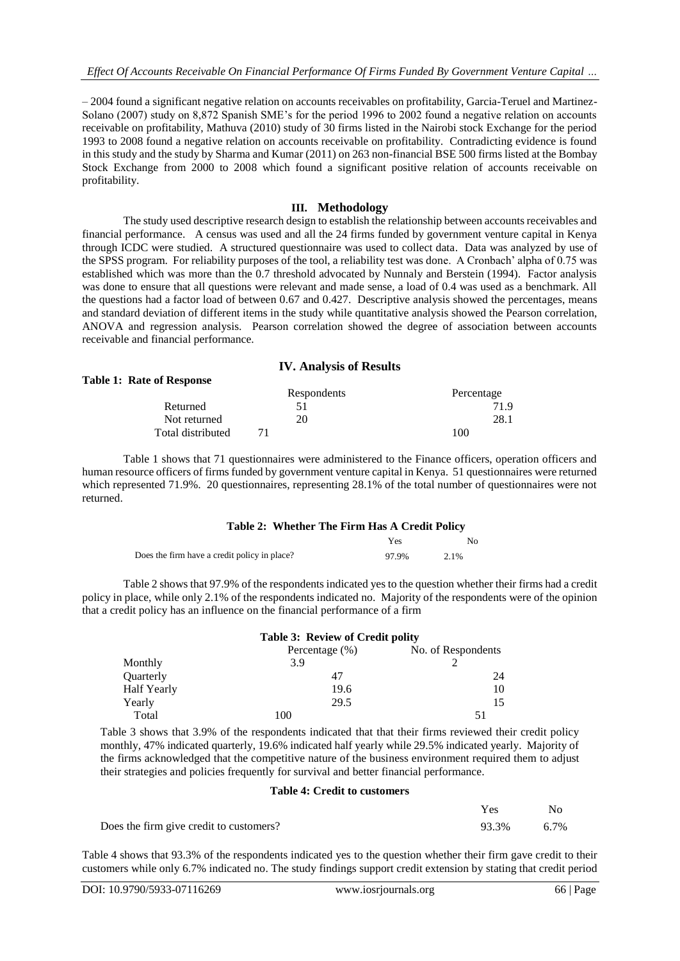– 2004 found a significant negative relation on accounts receivables on profitability, Garcia-Teruel and Martinez-Solano (2007) study on 8,872 Spanish SME's for the period 1996 to 2002 found a negative relation on accounts receivable on profitability, Mathuva (2010) study of 30 firms listed in the Nairobi stock Exchange for the period 1993 to 2008 found a negative relation on accounts receivable on profitability. Contradicting evidence is found in this study and the study by Sharma and Kumar (2011) on 263 non-financial BSE 500 firms listed at the Bombay Stock Exchange from 2000 to 2008 which found a significant positive relation of accounts receivable on profitability.

#### **III. Methodology**

The study used descriptive research design to establish the relationship between accounts receivables and financial performance. A census was used and all the 24 firms funded by government venture capital in Kenya through ICDC were studied. A structured questionnaire was used to collect data. Data was analyzed by use of the SPSS program. For reliability purposes of the tool, a reliability test was done. A Cronbach' alpha of 0.75 was established which was more than the 0.7 threshold advocated by Nunnaly and Berstein (1994). Factor analysis was done to ensure that all questions were relevant and made sense, a load of 0.4 was used as a benchmark. All the questions had a factor load of between 0.67 and 0.427. Descriptive analysis showed the percentages, means and standard deviation of different items in the study while quantitative analysis showed the Pearson correlation, ANOVA and regression analysis. Pearson correlation showed the degree of association between accounts receivable and financial performance.

### **IV. Analysis of Results**

| <b>Table 1: Rate of Response</b> |             |            |
|----------------------------------|-------------|------------|
|                                  | Respondents | Percentage |
| Returned                         | 51          | 71.9       |
| Not returned                     | 20          | 28.1       |
| Total distributed                |             | 100        |

Table 1 shows that 71 questionnaires were administered to the Finance officers, operation officers and human resource officers of firms funded by government venture capital in Kenya. 51 questionnaires were returned which represented 71.9%. 20 questionnaires, representing 28.1% of the total number of questionnaires were not returned.

#### **Table 2: Whether The Firm Has A Credit Policy**

|                                              | Yes   | No.  |
|----------------------------------------------|-------|------|
| Does the firm have a credit policy in place? | 97.9% | 2.1% |

Table 2 shows that 97.9% of the respondents indicated yes to the question whether their firms had a credit policy in place, while only 2.1% of the respondents indicated no. Majority of the respondents were of the opinion that a credit policy has an influence on the financial performance of a firm

|                    | <b>Table 3: Review of Credit polity</b> |                    |  |
|--------------------|-----------------------------------------|--------------------|--|
|                    | Percentage $(\% )$                      | No. of Respondents |  |
| Monthly            | 3.9                                     |                    |  |
| Quarterly          | 47                                      | 24                 |  |
| <b>Half Yearly</b> | 19.6                                    | 10                 |  |
| Yearly             | 29.5                                    | 15                 |  |
| Total              | 100                                     |                    |  |

Table 3 shows that 3.9% of the respondents indicated that that their firms reviewed their credit policy monthly, 47% indicated quarterly, 19.6% indicated half yearly while 29.5% indicated yearly. Majority of the firms acknowledged that the competitive nature of the business environment required them to adjust their strategies and policies frequently for survival and better financial performance.

#### **Table 4: Credit to customers**

|                                         | Yes   | No.  |
|-----------------------------------------|-------|------|
| Does the firm give credit to customers? | 93.3% | 6.7% |

Table 4 shows that 93.3% of the respondents indicated yes to the question whether their firm gave credit to their customers while only 6.7% indicated no. The study findings support credit extension by stating that credit period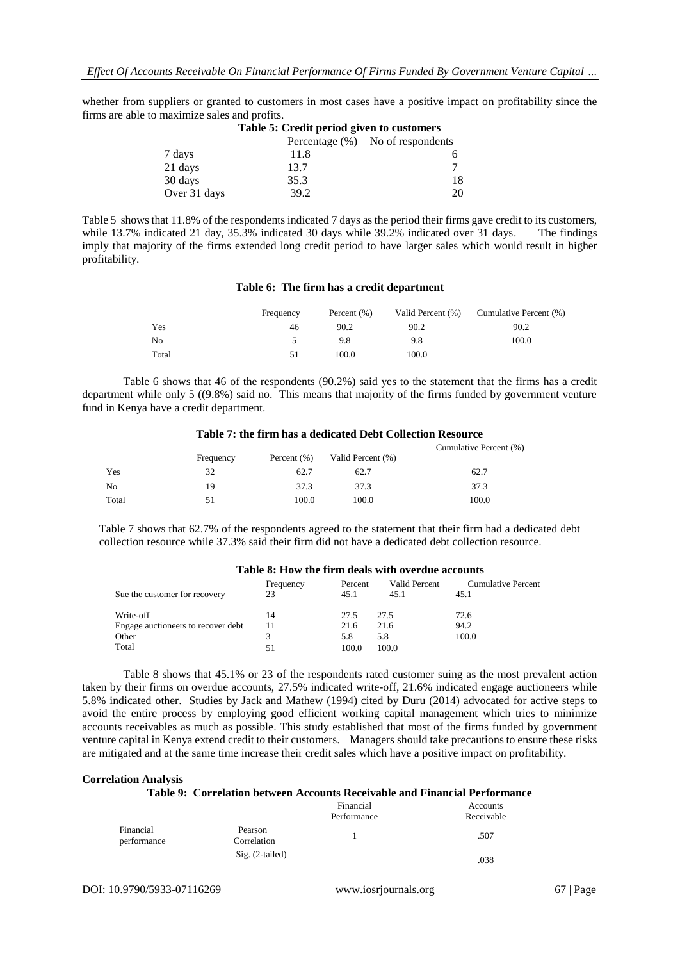whether from suppliers or granted to customers in most cases have a positive impact on profitability since the firms are able to maximize sales and profits.

|              | Table 5: Credit period given to customers |                                  |  |  |  |
|--------------|-------------------------------------------|----------------------------------|--|--|--|
|              |                                           | Percentage (%) No of respondents |  |  |  |
| 7 days       | 11.8                                      |                                  |  |  |  |
| 21 days      | 13.7                                      |                                  |  |  |  |
| 30 days      | 35.3                                      | 18                               |  |  |  |
| Over 31 days | 39.2                                      | 20                               |  |  |  |

Table 5 shows that 11.8% of the respondents indicated 7 days as the period their firms gave credit to its customers, while 13.7% indicated 21 day, 35.3% indicated 30 days while 39.2% indicated over 31 days. The findings imply that majority of the firms extended long credit period to have larger sales which would result in higher profitability.

#### **Table 6: The firm has a credit department**

|       | Frequency | Percent $(\%)$ |       | Valid Percent (%) Cumulative Percent (%) |
|-------|-----------|----------------|-------|------------------------------------------|
| Yes   | 46        | 90.2           | 90.2  | 90.2                                     |
| No    |           | 9.8            | 9.8   | 100.0                                    |
| Total | 51        | 100.0          | 100.0 |                                          |

Table 6 shows that 46 of the respondents (90.2%) said yes to the statement that the firms has a credit department while only 5 ((9.8%) said no. This means that majority of the firms funded by government venture fund in Kenya have a credit department.

|       | Frequency | Percent $(\%)$ | Valid Percent (%) | Cumulative Percent (%) |
|-------|-----------|----------------|-------------------|------------------------|
| Yes   | 32        | 62.7           | 62.7              | 62.7                   |
| No    | 19        | 37.3           | 37.3              | 37.3                   |
| Total | 51        | 100.0          | 100.0             | 100.0                  |

#### **Table 7: the firm has a dedicated Debt Collection Resource**

Table 7 shows that 62.7% of the respondents agreed to the statement that their firm had a dedicated debt collection resource while 37.3% said their firm did not have a dedicated debt collection resource.

|                                    |                 |                 | Table 8: How the HFm deals with overdue accounts |                                   |
|------------------------------------|-----------------|-----------------|--------------------------------------------------|-----------------------------------|
| Sue the customer for recovery      | Frequency<br>23 | Percent<br>45.1 | Valid Percent<br>45.1                            | <b>Cumulative Percent</b><br>45.1 |
| Write-off                          | 14              | 27.5            | 27.5                                             | 72.6                              |
| Engage auctioneers to recover debt | 11              | 21.6            | 21.6                                             | 94.2                              |
| Other                              |                 | 5.8             | 5.8                                              | 100.0                             |
| Total                              |                 | 100.0           | 100.0                                            |                                   |

## **Table 8: How the firm deals with overdue accounts**

Table 8 shows that 45.1% or 23 of the respondents rated customer suing as the most prevalent action taken by their firms on overdue accounts, 27.5% indicated write-off, 21.6% indicated engage auctioneers while 5.8% indicated other. Studies by Jack and Mathew (1994) cited by Duru (2014) advocated for active steps to avoid the entire process by employing good efficient working capital management which tries to minimize accounts receivables as much as possible. This study established that most of the firms funded by government venture capital in Kenya extend credit to their customers. Managers should take precautions to ensure these risks are mitigated and at the same time increase their credit sales which have a positive impact on profitability.

#### **Correlation Analysis**

#### **Table 9: Correlation between Accounts Receivable and Financial Performance**

|                          |                        | Financial<br>Performance | Accounts<br>Receivable |
|--------------------------|------------------------|--------------------------|------------------------|
| Financial<br>performance | Pearson<br>Correlation |                          | .507                   |
|                          | $Sig. (2-tailed)$      |                          | .038                   |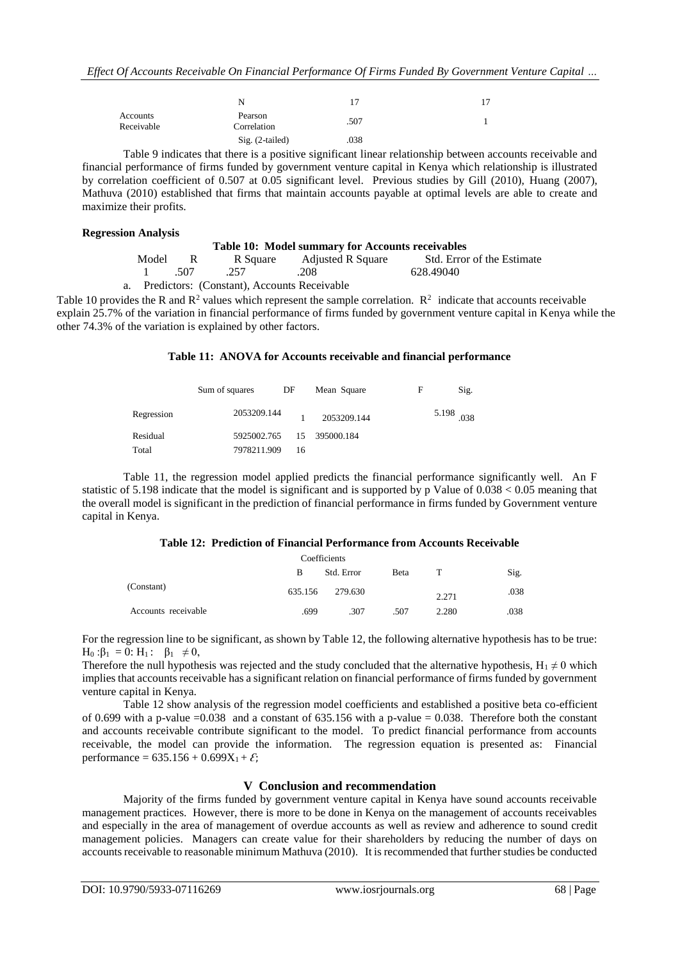|                        | N                      | 17   |  |
|------------------------|------------------------|------|--|
| Accounts<br>Receivable | Pearson<br>Correlation | .507 |  |
|                        | $Sig. (2-tailed)$      | .038 |  |

Table 9 indicates that there is a positive significant linear relationship between accounts receivable and financial performance of firms funded by government venture capital in Kenya which relationship is illustrated by correlation coefficient of 0.507 at 0.05 significant level. Previous studies by Gill (2010), Huang (2007), Mathuva (2010) established that firms that maintain accounts payable at optimal levels are able to create and maximize their profits.

#### **Regression Analysis**

| <b>Table 10: Model summary for Accounts receivables</b> |         |                                                |                            |                            |  |  |  |
|---------------------------------------------------------|---------|------------------------------------------------|----------------------------|----------------------------|--|--|--|
| Model                                                   | R       |                                                | R Square Adjusted R Square | Std. Error of the Estimate |  |  |  |
|                                                         | - 507 - | .257                                           | - 208                      | 628.49040                  |  |  |  |
|                                                         |         | a. Predictors: (Constant), Accounts Receivable |                            |                            |  |  |  |

Table 10 provides the R and  $\mathbb{R}^2$  values which represent the sample correlation.  $\mathbb{R}^2$  indicate that accounts receivable explain 25.7% of the variation in financial performance of firms funded by government venture capital in Kenya while the other 74.3% of the variation is explained by other factors.

## **Table 11: ANOVA for Accounts receivable and financial performance**

|            | Sum of squares | DF | Mean Square               | F           | Sig. |
|------------|----------------|----|---------------------------|-------------|------|
| Regression | 2053209.144    |    | 2053209.144               | $5.198$ 038 |      |
| Residual   |                |    | 5925002.765 15 395000.184 |             |      |
| Total      | 7978211.909    | 16 |                           |             |      |

Table 11, the regression model applied predicts the financial performance significantly well. An F statistic of 5.198 indicate that the model is significant and is supported by p Value of 0.038 < 0.05 meaning that the overall model is significant in the prediction of financial performance in firms funded by Government venture capital in Kenya.

#### **Table 12: Prediction of Financial Performance from Accounts Receivable**

|                     | Coefficients |            |      |       |      |
|---------------------|--------------|------------|------|-------|------|
|                     | B            | Std. Error | Beta |       | Sig. |
| (Constant)          | 635.156      | 279.630    |      | 2.271 | .038 |
| Accounts receivable | .699         | .307       | .507 | 2.280 | .038 |

For the regression line to be significant, as shown by Table 12, the following alternative hypothesis has to be true:  $H_0$  :β<sub>1</sub> = 0: H<sub>1</sub>: β<sub>1</sub>  $\neq$  0,

Therefore the null hypothesis was rejected and the study concluded that the alternative hypothesis,  $H_1 \neq 0$  which implies that accounts receivable has a significant relation on financial performance of firms funded by government venture capital in Kenya.

Table 12 show analysis of the regression model coefficients and established a positive beta co-efficient of 0.699 with a p-value  $=0.038$  and a constant of 635.156 with a p-value  $= 0.038$ . Therefore both the constant and accounts receivable contribute significant to the model. To predict financial performance from accounts receivable, the model can provide the information. The regression equation is presented as: Financial performance =  $635.156 + 0.699X_1 + \mathcal{E}$ ;

#### **V Conclusion and recommendation**

Majority of the firms funded by government venture capital in Kenya have sound accounts receivable management practices. However, there is more to be done in Kenya on the management of accounts receivables and especially in the area of management of overdue accounts as well as review and adherence to sound credit management policies. Managers can create value for their shareholders by reducing the number of days on accounts receivable to reasonable minimum Mathuva (2010). It is recommended that further studies be conducted